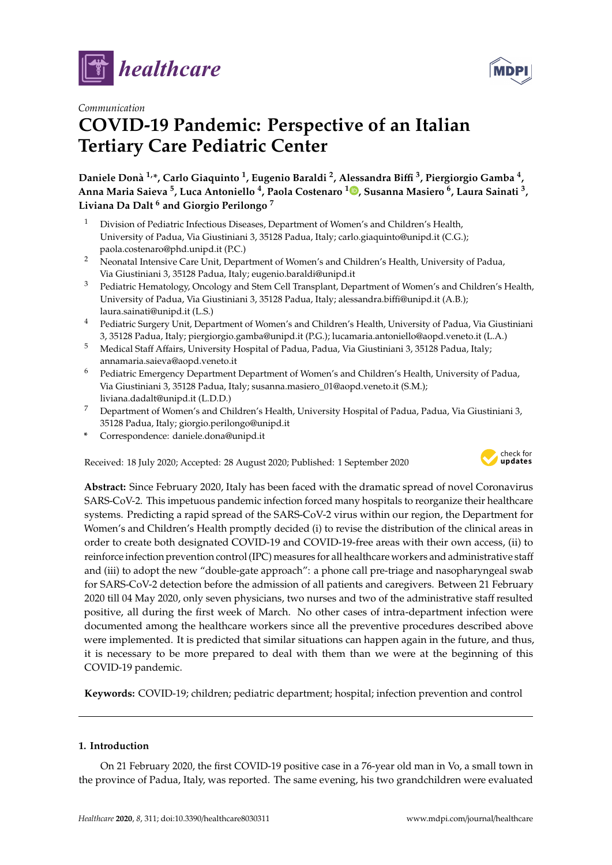



# *Communication* **COVID-19 Pandemic: Perspective of an Italian Tertiary Care Pediatric Center**

**Daniele Donà 1,\*, Carlo Giaquinto <sup>1</sup> , Eugenio Baraldi <sup>2</sup> , Alessandra Bi**ffi **<sup>3</sup> , Piergiorgio Gamba <sup>4</sup> , Anna Maria Saieva <sup>5</sup> , Luca Antoniello <sup>4</sup> , Paola Costenaro <sup>1</sup> [,](https://orcid.org/0000-0002-1948-2631) Susanna Masiero <sup>6</sup> , Laura Sainati <sup>3</sup> , Liviana Da Dalt <sup>6</sup> and Giorgio Perilongo <sup>7</sup>**

- <sup>1</sup> Division of Pediatric Infectious Diseases, Department of Women's and Children's Health, University of Padua, Via Giustiniani 3, 35128 Padua, Italy; carlo.giaquinto@unipd.it (C.G.); paola.costenaro@phd.unipd.it (P.C.)
- <sup>2</sup> Neonatal Intensive Care Unit, Department of Women's and Children's Health, University of Padua, Via Giustiniani 3, 35128 Padua, Italy; eugenio.baraldi@unipd.it
- <sup>3</sup> Pediatric Hematology, Oncology and Stem Cell Transplant, Department of Women's and Children's Health, University of Padua, Via Giustiniani 3, 35128 Padua, Italy; alessandra.biffi@unipd.it (A.B.); laura.sainati@unipd.it (L.S.)
- <sup>4</sup> Pediatric Surgery Unit, Department of Women's and Children's Health, University of Padua, Via Giustiniani 3, 35128 Padua, Italy; piergiorgio.gamba@unipd.it (P.G.); lucamaria.antoniello@aopd.veneto.it (L.A.)
- <sup>5</sup> Medical Staff Affairs, University Hospital of Padua, Padua, Via Giustiniani 3, 35128 Padua, Italy; annamaria.saieva@aopd.veneto.it
- <sup>6</sup> Pediatric Emergency Department Department of Women's and Children's Health, University of Padua, Via Giustiniani 3, 35128 Padua, Italy; susanna.masiero\_01@aopd.veneto.it (S.M.); liviana.dadalt@unipd.it (L.D.D.)
- <sup>7</sup> Department of Women's and Children's Health, University Hospital of Padua, Padua, Via Giustiniani 3, 35128 Padua, Italy; giorgio.perilongo@unipd.it
- **\*** Correspondence: daniele.dona@unipd.it

Received: 18 July 2020; Accepted: 28 August 2020; Published: 1 September 2020



**Abstract:** Since February 2020, Italy has been faced with the dramatic spread of novel Coronavirus SARS-CoV-2. This impetuous pandemic infection forced many hospitals to reorganize their healthcare systems. Predicting a rapid spread of the SARS-CoV-2 virus within our region, the Department for Women's and Children's Health promptly decided (i) to revise the distribution of the clinical areas in order to create both designated COVID-19 and COVID-19-free areas with their own access, (ii) to reinforce infection prevention control (IPC) measures for all healthcare workers and administrative staff and (iii) to adopt the new "double-gate approach": a phone call pre-triage and nasopharyngeal swab for SARS-CoV-2 detection before the admission of all patients and caregivers. Between 21 February 2020 till 04 May 2020, only seven physicians, two nurses and two of the administrative staff resulted positive, all during the first week of March. No other cases of intra-department infection were documented among the healthcare workers since all the preventive procedures described above were implemented. It is predicted that similar situations can happen again in the future, and thus, it is necessary to be more prepared to deal with them than we were at the beginning of this COVID-19 pandemic.

**Keywords:** COVID-19; children; pediatric department; hospital; infection prevention and control

# **1. Introduction**

On 21 February 2020, the first COVID-19 positive case in a 76-year old man in Vo, a small town in the province of Padua, Italy, was reported. The same evening, his two grandchildren were evaluated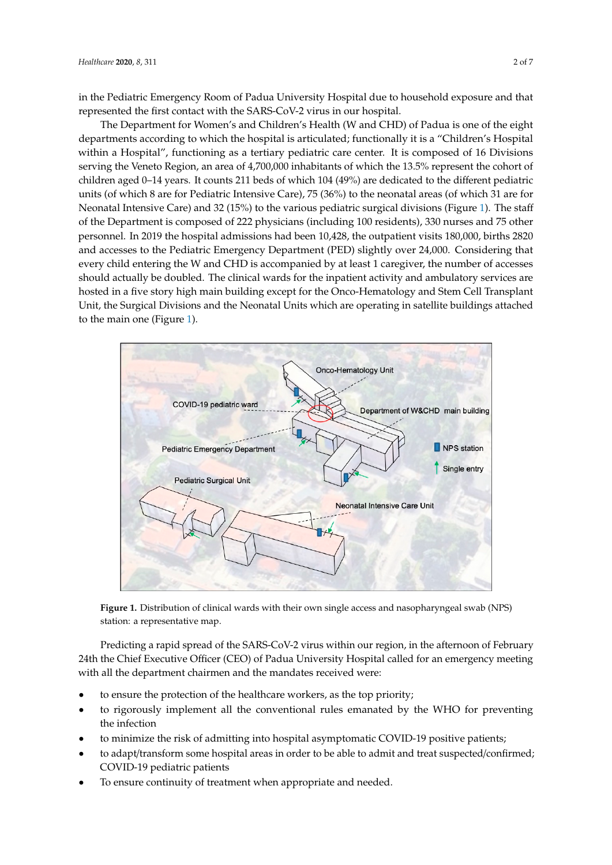in the Pediatric Emergency Room of Padua University Hospital due to household exposure and that represented the first contact with the SARS-CoV-2 virus in our hospital.<br>The SARS-CoV-2 virus in our hospital. in the province of Padua, Italy, was reported. The same evening, his two grandchildren were evaluated in the Pediatric Emergency Room of Padua University Hospital due to household exposure and that

The Department for Women's and Children's Health (W and CHD) of Padua is one of the eight The Department for Women's and Children's Health (W and CHD) of Padua is one of the eight departments according to which the hospital is articulated; functionally it is a "Children's Hospital departments according to which the hospital is articulated; functionally it is a "Children's Hospital within a Hospital", functioning as a tertiary pediatric care center. It is composed of 16 Divisions<br>within a Hospital", functioning as a tertiary pediatric care center. It is composed of 16 Divisions serving the Veneto Region, an area of 4,700,000 inhabitants of which the 13.5% represent the cohort of children aged 0–14 years. It counts 211 beds of which 104 (49%) are dedicated to the different pediatric of children aged 0–14 years. It counts 211 beds of which 104 (49%) are dedicated to the different units (of which 8 are for Pediatric Intensive Care), 75 (36%) to the neonatal areas (of which 31 are for  $\tilde{C}$ Neonatal Intensive Care) and 32 (15%) to the various pediatric surgical divisions (Figure [1\)](#page-1-0). The staff Neonatal Intensive Care) and 32 (15%) to the various pediatric surgical divisions (Figure 1). The staff of the Department is composed of 222 physicians (including 100 residents), 330 nurses and 75 other personnel. In 2019 the hospital admissions had been 10,428, the outpatient visits 180,000, births 2820 personnel. and accesses to the Pediatric Emergency Department (PED) slightly over 24,000. Considering that and accesses to the Pediatric Emergency Department (PED) slightly over 24,000. Considering that every child entering the W and CHD is accompanied by at least 1 caregiver, the number of accesses should actually be doubled. The clinical wards for the inpatient activity and ambulatory services are<br> hosted in a five story high main building except for the Onco-Hematology and Stem Cell Transplant<br>Ambulatory services are hosted in a five story high main building and the United Stems in a five story high ma Unit, the Surgical Divisions and the Neonatal Units which are operating in satellite buildings attached Units which are operating in satellite buildings attached to the main one (Figure [1\)](#page-1-0).

<span id="page-1-0"></span>

**Figure 1.** Distribution of clinical wards with their own single access and nasopharyngeal swab (NPS) **Figure 1.** Distribution of clinical wards with their own single access and nasopharyngeal swab (NPS) station: a representative map. station: a representative map.

Predicting a rapid spread of the SARS-CoV-2 virus within our region, in the afternoon of Predicting a rapid spread of the SARS-CoV-2 virus within our region, in the afternoon of February 24th the Chief Executive Officer (CEO) of Padua University Hospital called for an emergency meeting with all the department chairmen and the mandates received were:

- to ensure the protection of the healthcare workers, as the top priority; to ensure the protection of the healthcare workers, as the top priority;
- to rigorously implement all the conventional rules emanated by the WHO for preventing the infection
- to minimize the risk of admitting into hospital asymptomatic COVID-19 positive patients; to minimize the risk of admitting into hospital asymptomatic COVID-19 positive patients;
- $\epsilon$  to adapt/transform some hospital areas in order to be able to admit and treat sympatod (somirmed). • to adapt/transform some hospital areas in order to be able to admit and treat suspected/confirmed;<br>COVID-19 pediatric patients COVID-19 pediatric patients
- **•** To ensure continuity of treatment when appropriate and needed.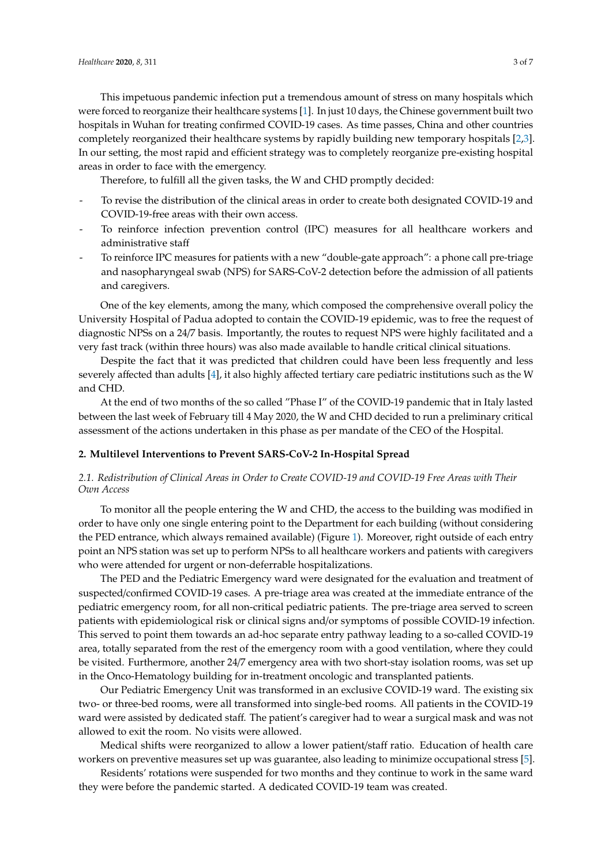This impetuous pandemic infection put a tremendous amount of stress on many hospitals which were forced to reorganize their healthcare systems [\[1\]](#page-6-0). In just 10 days, the Chinese government built two hospitals in Wuhan for treating confirmed COVID-19 cases. As time passes, China and other countries completely reorganized their healthcare systems by rapidly building new temporary hospitals [\[2,](#page-6-1)[3\]](#page-6-2). In our setting, the most rapid and efficient strategy was to completely reorganize pre-existing hospital areas in order to face with the emergency.

Therefore, to fulfill all the given tasks, the W and CHD promptly decided:

- To revise the distribution of the clinical areas in order to create both designated COVID-19 and COVID-19-free areas with their own access.
- To reinforce infection prevention control (IPC) measures for all healthcare workers and administrative staff
- To reinforce IPC measures for patients with a new "double-gate approach": a phone call pre-triage and nasopharyngeal swab (NPS) for SARS-CoV-2 detection before the admission of all patients and caregivers.

One of the key elements, among the many, which composed the comprehensive overall policy the University Hospital of Padua adopted to contain the COVID-19 epidemic, was to free the request of diagnostic NPSs on a 24/7 basis. Importantly, the routes to request NPS were highly facilitated and a very fast track (within three hours) was also made available to handle critical clinical situations.

Despite the fact that it was predicted that children could have been less frequently and less severely affected than adults [\[4\]](#page-6-3), it also highly affected tertiary care pediatric institutions such as the W and CHD.

At the end of two months of the so called "Phase I" of the COVID-19 pandemic that in Italy lasted between the last week of February till 4 May 2020, the W and CHD decided to run a preliminary critical assessment of the actions undertaken in this phase as per mandate of the CEO of the Hospital.

## **2. Multilevel Interventions to Prevent SARS-CoV-2 In-Hospital Spread**

## *2.1. Redistribution of Clinical Areas in Order to Create COVID-19 and COVID-19 Free Areas with Their Own Access*

To monitor all the people entering the W and CHD, the access to the building was modified in order to have only one single entering point to the Department for each building (without considering the PED entrance, which always remained available) (Figure [1\)](#page-1-0). Moreover, right outside of each entry point an NPS station was set up to perform NPSs to all healthcare workers and patients with caregivers who were attended for urgent or non-deferrable hospitalizations.

The PED and the Pediatric Emergency ward were designated for the evaluation and treatment of suspected/confirmed COVID-19 cases. A pre-triage area was created at the immediate entrance of the pediatric emergency room, for all non-critical pediatric patients. The pre-triage area served to screen patients with epidemiological risk or clinical signs and/or symptoms of possible COVID-19 infection. This served to point them towards an ad-hoc separate entry pathway leading to a so-called COVID-19 area, totally separated from the rest of the emergency room with a good ventilation, where they could be visited. Furthermore, another 24/7 emergency area with two short-stay isolation rooms, was set up in the Onco-Hematology building for in-treatment oncologic and transplanted patients.

Our Pediatric Emergency Unit was transformed in an exclusive COVID-19 ward. The existing six two- or three-bed rooms, were all transformed into single-bed rooms. All patients in the COVID-19 ward were assisted by dedicated staff. The patient's caregiver had to wear a surgical mask and was not allowed to exit the room. No visits were allowed.

Medical shifts were reorganized to allow a lower patient/staff ratio. Education of health care workers on preventive measures set up was guarantee, also leading to minimize occupational stress [\[5\]](#page-6-4).

Residents' rotations were suspended for two months and they continue to work in the same ward they were before the pandemic started. A dedicated COVID-19 team was created.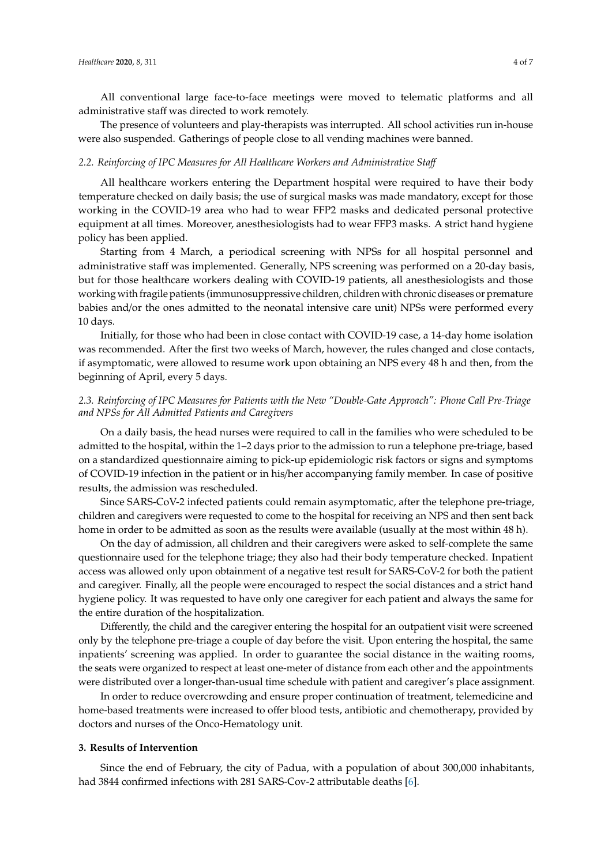All conventional large face-to-face meetings were moved to telematic platforms and all administrative staff was directed to work remotely.

The presence of volunteers and play-therapists was interrupted. All school activities run in-house were also suspended. Gatherings of people close to all vending machines were banned.

#### *2.2. Reinforcing of IPC Measures for All Healthcare Workers and Administrative Sta*ff

All healthcare workers entering the Department hospital were required to have their body temperature checked on daily basis; the use of surgical masks was made mandatory, except for those working in the COVID-19 area who had to wear FFP2 masks and dedicated personal protective equipment at all times. Moreover, anesthesiologists had to wear FFP3 masks. A strict hand hygiene policy has been applied.

Starting from 4 March, a periodical screening with NPSs for all hospital personnel and administrative staff was implemented. Generally, NPS screening was performed on a 20-day basis, but for those healthcare workers dealing with COVID-19 patients, all anesthesiologists and those working with fragile patients (immunosuppressive children, children with chronic diseases or premature babies and/or the ones admitted to the neonatal intensive care unit) NPSs were performed every 10 days.

Initially, for those who had been in close contact with COVID-19 case, a 14-day home isolation was recommended. After the first two weeks of March, however, the rules changed and close contacts, if asymptomatic, were allowed to resume work upon obtaining an NPS every 48 h and then, from the beginning of April, every 5 days.

## *2.3. Reinforcing of IPC Measures for Patients with the New "Double-Gate Approach": Phone Call Pre-Triage and NPSs for All Admitted Patients and Caregivers*

On a daily basis, the head nurses were required to call in the families who were scheduled to be admitted to the hospital, within the 1–2 days prior to the admission to run a telephone pre-triage, based on a standardized questionnaire aiming to pick-up epidemiologic risk factors or signs and symptoms of COVID-19 infection in the patient or in his/her accompanying family member. In case of positive results, the admission was rescheduled.

Since SARS-CoV-2 infected patients could remain asymptomatic, after the telephone pre-triage, children and caregivers were requested to come to the hospital for receiving an NPS and then sent back home in order to be admitted as soon as the results were available (usually at the most within 48 h).

On the day of admission, all children and their caregivers were asked to self-complete the same questionnaire used for the telephone triage; they also had their body temperature checked. Inpatient access was allowed only upon obtainment of a negative test result for SARS-CoV-2 for both the patient and caregiver. Finally, all the people were encouraged to respect the social distances and a strict hand hygiene policy. It was requested to have only one caregiver for each patient and always the same for the entire duration of the hospitalization.

Differently, the child and the caregiver entering the hospital for an outpatient visit were screened only by the telephone pre-triage a couple of day before the visit. Upon entering the hospital, the same inpatients' screening was applied. In order to guarantee the social distance in the waiting rooms, the seats were organized to respect at least one-meter of distance from each other and the appointments were distributed over a longer-than-usual time schedule with patient and caregiver's place assignment.

In order to reduce overcrowding and ensure proper continuation of treatment, telemedicine and home-based treatments were increased to offer blood tests, antibiotic and chemotherapy, provided by doctors and nurses of the Onco-Hematology unit.

## **3. Results of Intervention**

Since the end of February, the city of Padua, with a population of about 300,000 inhabitants, had 3844 confirmed infections with 281 SARS-Cov-2 attributable deaths [\[6\]](#page-6-5).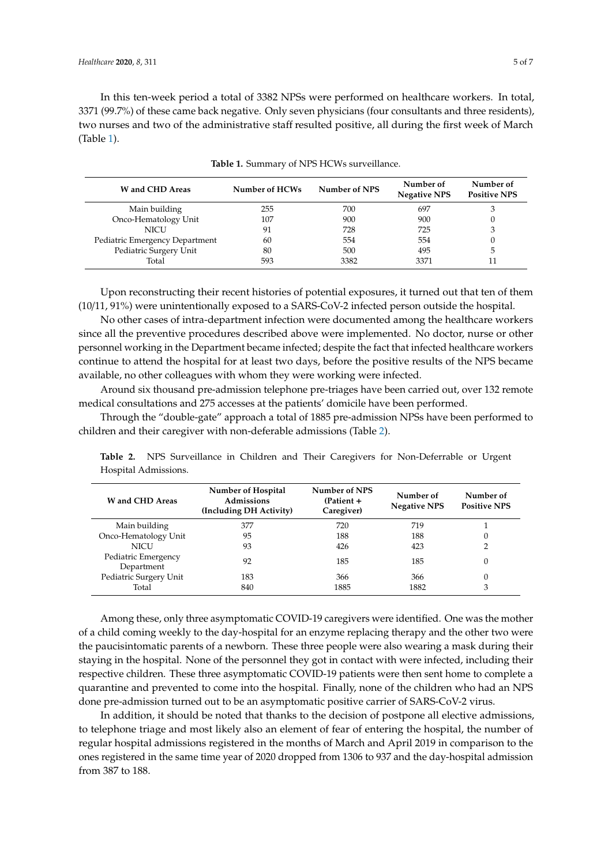In this ten-week period a total of 3382 NPSs were performed on healthcare workers. In total, 3371 (99.7%) of these came back negative. Only seven physicians (four consultants and three residents), two nurses and two of the administrative staff resulted positive, all during the first week of March (Table [1\)](#page-4-0).

<span id="page-4-0"></span>

| <b>W</b> and CHD Areas         | Number of HCWs | Number of NPS | Number of<br><b>Negative NPS</b> | Number of<br><b>Positive NPS</b> |
|--------------------------------|----------------|---------------|----------------------------------|----------------------------------|
| Main building                  | 255            | 700           | 697                              |                                  |
| Onco-Hematology Unit           | 107            | 900           | 900                              |                                  |
| NICU                           | 91             | 728           | 725                              |                                  |
| Pediatric Emergency Department | 60             | 554           | 554                              | 0                                |
| Pediatric Surgery Unit         | 80             | 500           | 495                              | 5                                |
| Total                          | 593            | 3382          | 3371                             |                                  |

**Table 1.** Summary of NPS HCWs surveillance.

Upon reconstructing their recent histories of potential exposures, it turned out that ten of them (10/11, 91%) were unintentionally exposed to a SARS-CoV-2 infected person outside the hospital.

No other cases of intra-department infection were documented among the healthcare workers since all the preventive procedures described above were implemented. No doctor, nurse or other personnel working in the Department became infected; despite the fact that infected healthcare workers continue to attend the hospital for at least two days, before the positive results of the NPS became available, no other colleagues with whom they were working were infected.

Around six thousand pre-admission telephone pre-triages have been carried out, over 132 remote medical consultations and 275 accesses at the patients' domicile have been performed.

Through the "double-gate" approach a total of 1885 pre-admission NPSs have been performed to children and their caregiver with non-deferable admissions (Table [2\)](#page-4-1).

| W and CHD Areas                   | <b>Number of Hospital</b><br><b>Admissions</b><br>(Including DH Activity) | Number of NPS<br>$(Pattern+ + )$<br>Caregiver) | Number of<br><b>Negative NPS</b> | Number of<br><b>Positive NPS</b> |
|-----------------------------------|---------------------------------------------------------------------------|------------------------------------------------|----------------------------------|----------------------------------|
| Main building                     | 377                                                                       | 720                                            | 719                              |                                  |
| Onco-Hematology Unit              | 95                                                                        | 188                                            | 188                              |                                  |
| NICU                              | 93                                                                        | 426                                            | 423                              |                                  |
| Pediatric Emergency<br>Department | 92                                                                        | 185                                            | 185                              |                                  |
| Pediatric Surgery Unit            | 183                                                                       | 366                                            | 366                              | $\Omega$                         |
| Total                             | 840                                                                       | 1885                                           | 1882                             | 3                                |

<span id="page-4-1"></span>**Table 2.** NPS Surveillance in Children and Their Caregivers for Non-Deferrable or Urgent Hospital Admissions.

Among these, only three asymptomatic COVID-19 caregivers were identified. One was the mother of a child coming weekly to the day-hospital for an enzyme replacing therapy and the other two were the paucisintomatic parents of a newborn. These three people were also wearing a mask during their staying in the hospital. None of the personnel they got in contact with were infected, including their respective children. These three asymptomatic COVID-19 patients were then sent home to complete a quarantine and prevented to come into the hospital. Finally, none of the children who had an NPS done pre-admission turned out to be an asymptomatic positive carrier of SARS-CoV-2 virus.

In addition, it should be noted that thanks to the decision of postpone all elective admissions, to telephone triage and most likely also an element of fear of entering the hospital, the number of regular hospital admissions registered in the months of March and April 2019 in comparison to the ones registered in the same time year of 2020 dropped from 1306 to 937 and the day-hospital admission from 387 to 188.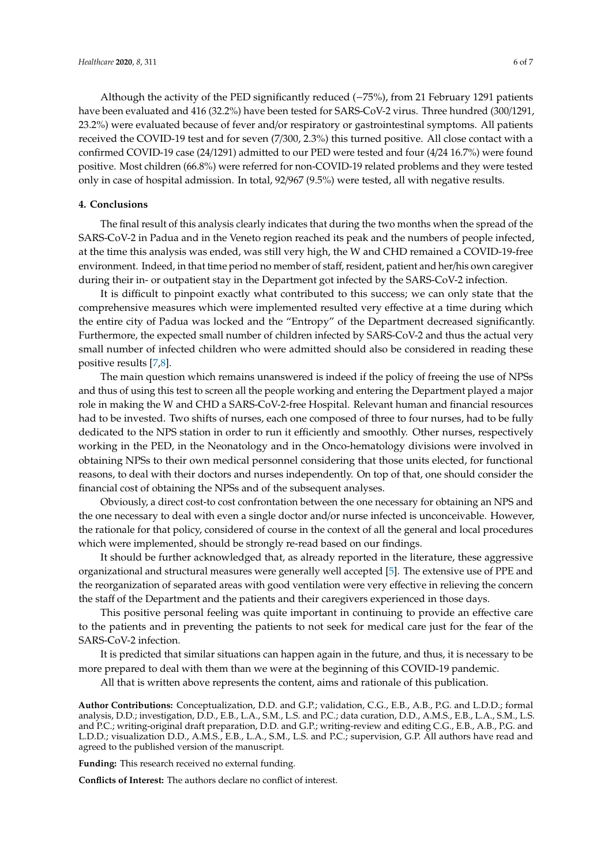Although the activity of the PED significantly reduced (−75%), from 21 February 1291 patients have been evaluated and 416 (32.2%) have been tested for SARS-CoV-2 virus. Three hundred (300/1291, 23.2%) were evaluated because of fever and/or respiratory or gastrointestinal symptoms. All patients received the COVID-19 test and for seven (7/300, 2.3%) this turned positive. All close contact with a confirmed COVID-19 case (24/1291) admitted to our PED were tested and four (4/24 16.7%) were found positive. Most children (66.8%) were referred for non-COVID-19 related problems and they were tested only in case of hospital admission. In total, 92/967 (9.5%) were tested, all with negative results.

#### **4. Conclusions**

The final result of this analysis clearly indicates that during the two months when the spread of the SARS-CoV-2 in Padua and in the Veneto region reached its peak and the numbers of people infected, at the time this analysis was ended, was still very high, the W and CHD remained a COVID-19-free environment. Indeed, in that time period no member of staff, resident, patient and her/his own caregiver during their in- or outpatient stay in the Department got infected by the SARS-CoV-2 infection.

It is difficult to pinpoint exactly what contributed to this success; we can only state that the comprehensive measures which were implemented resulted very effective at a time during which the entire city of Padua was locked and the "Entropy" of the Department decreased significantly. Furthermore, the expected small number of children infected by SARS-CoV-2 and thus the actual very small number of infected children who were admitted should also be considered in reading these positive results [\[7,](#page-6-6)[8\]](#page-6-7).

The main question which remains unanswered is indeed if the policy of freeing the use of NPSs and thus of using this test to screen all the people working and entering the Department played a major role in making the W and CHD a SARS-CoV-2-free Hospital. Relevant human and financial resources had to be invested. Two shifts of nurses, each one composed of three to four nurses, had to be fully dedicated to the NPS station in order to run it efficiently and smoothly. Other nurses, respectively working in the PED, in the Neonatology and in the Onco-hematology divisions were involved in obtaining NPSs to their own medical personnel considering that those units elected, for functional reasons, to deal with their doctors and nurses independently. On top of that, one should consider the financial cost of obtaining the NPSs and of the subsequent analyses.

Obviously, a direct cost-to cost confrontation between the one necessary for obtaining an NPS and the one necessary to deal with even a single doctor and/or nurse infected is unconceivable. However, the rationale for that policy, considered of course in the context of all the general and local procedures which were implemented, should be strongly re-read based on our findings.

It should be further acknowledged that, as already reported in the literature, these aggressive organizational and structural measures were generally well accepted [\[5\]](#page-6-4). The extensive use of PPE and the reorganization of separated areas with good ventilation were very effective in relieving the concern the staff of the Department and the patients and their caregivers experienced in those days.

This positive personal feeling was quite important in continuing to provide an effective care to the patients and in preventing the patients to not seek for medical care just for the fear of the SARS-CoV-2 infection.

It is predicted that similar situations can happen again in the future, and thus, it is necessary to be more prepared to deal with them than we were at the beginning of this COVID-19 pandemic.

All that is written above represents the content, aims and rationale of this publication.

**Author Contributions:** Conceptualization, D.D. and G.P.; validation, C.G., E.B., A.B., P.G. and L.D.D.; formal analysis, D.D.; investigation, D.D., E.B., L.A., S.M., L.S. and P.C.; data curation, D.D., A.M.S., E.B., L.A., S.M., L.S. and P.C.; writing-original draft preparation, D.D. and G.P.; writing-review and editing C.G., E.B., A.B., P.G. and L.D.D.; visualization D.D., A.M.S., E.B., L.A., S.M., L.S. and P.C.; supervision, G.P. All authors have read and agreed to the published version of the manuscript.

**Funding:** This research received no external funding.

**Conflicts of Interest:** The authors declare no conflict of interest.